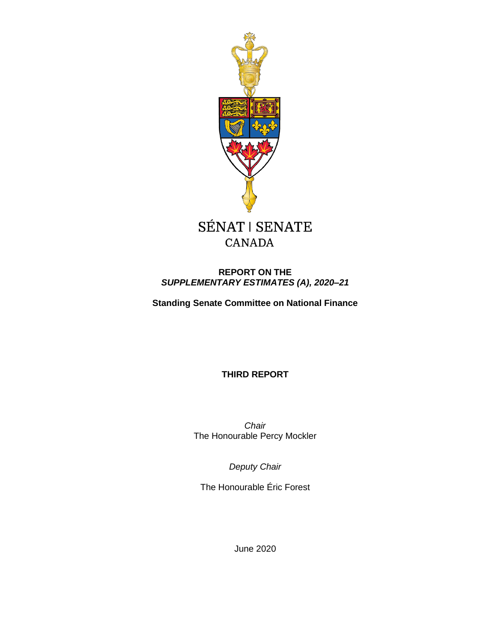

## **CANADA**

## **REPORT ON THE** *SUPPLEMENTARY ESTIMATES (A), 2020–21*

**Standing Senate Committee on National Finance**

**THIRD REPORT**

*Chair* The Honourable Percy Mockler

*Deputy Chair*

The Honourable Éric Forest

June 2020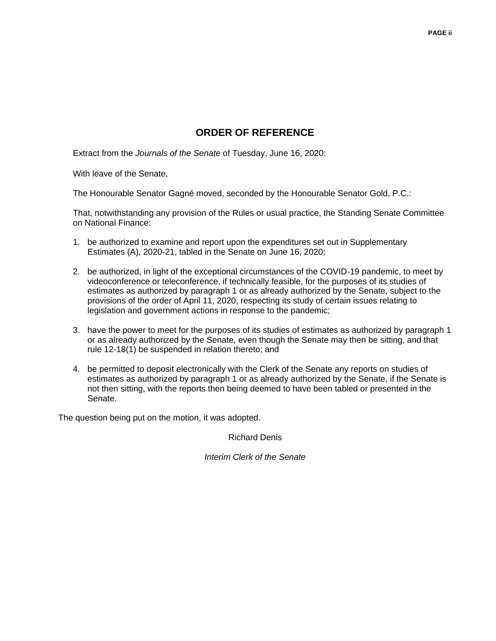## **ORDER OF REFERENCE**

Extract from the *Journals of the Senate* of Tuesday, June 16, 2020:

With leave of the Senate,

The Honourable Senator Gagné moved, seconded by the Honourable Senator Gold, P.C.:

That, notwithstanding any provision of the Rules or usual practice, the Standing Senate Committee on National Finance:

- 1. be authorized to examine and report upon the expenditures set out in Supplementary Estimates (A), 2020-21, tabled in the Senate on June 16, 2020;
- 2. be authorized, in light of the exceptional circumstances of the COVID-19 pandemic, to meet by videoconference or teleconference, if technically feasible, for the purposes of its studies of estimates as authorized by paragraph 1 or as already authorized by the Senate, subject to the provisions of the order of April 11, 2020, respecting its study of certain issues relating to legislation and government actions in response to the pandemic;
- 3. have the power to meet for the purposes of its studies of estimates as authorized by paragraph 1 or as already authorized by the Senate, even though the Senate may then be sitting, and that rule 12-18(1) be suspended in relation thereto; and
- 4. be permitted to deposit electronically with the Clerk of the Senate any reports on studies of estimates as authorized by paragraph 1 or as already authorized by the Senate, if the Senate is not then sitting, with the reports then being deemed to have been tabled or presented in the Senate.

The question being put on the motion, it was adopted.

Richard Denis

*Interim Clerk of the Senate*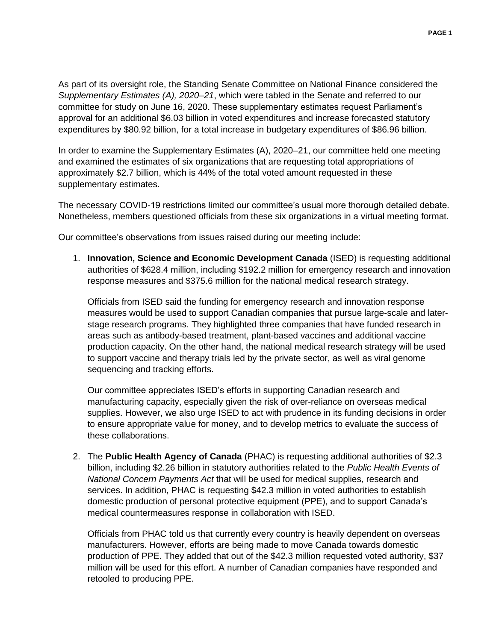As part of its oversight role, the Standing Senate Committee on National Finance considered the *Supplementary Estimates (A), 2020–21*, which were tabled in the Senate and referred to our committee for study on June 16, 2020. These supplementary estimates request Parliament's approval for an additional \$6.03 billion in voted expenditures and increase forecasted statutory expenditures by \$80.92 billion, for a total increase in budgetary expenditures of \$86.96 billion.

In order to examine the Supplementary Estimates (A), 2020–21, our committee held one meeting and examined the estimates of six organizations that are requesting total appropriations of approximately \$2.7 billion, which is 44% of the total voted amount requested in these supplementary estimates.

The necessary COVID-19 restrictions limited our committee's usual more thorough detailed debate. Nonetheless, members questioned officials from these six organizations in a virtual meeting format.

Our committee's observations from issues raised during our meeting include:

1. **Innovation, Science and Economic Development Canada** (ISED) is requesting additional authorities of \$628.4 million, including \$192.2 million for emergency research and innovation response measures and \$375.6 million for the national medical research strategy.

Officials from ISED said the funding for emergency research and innovation response measures would be used to support Canadian companies that pursue large-scale and laterstage research programs. They highlighted three companies that have funded research in areas such as antibody-based treatment, plant-based vaccines and additional vaccine production capacity. On the other hand, the national medical research strategy will be used to support vaccine and therapy trials led by the private sector, as well as viral genome sequencing and tracking efforts.

Our committee appreciates ISED's efforts in supporting Canadian research and manufacturing capacity, especially given the risk of over-reliance on overseas medical supplies. However, we also urge ISED to act with prudence in its funding decisions in order to ensure appropriate value for money, and to develop metrics to evaluate the success of these collaborations.

2. The **Public Health Agency of Canada** (PHAC) is requesting additional authorities of \$2.3 billion, including \$2.26 billion in statutory authorities related to the *Public Health Events of National Concern Payments Act* that will be used for medical supplies, research and services. In addition, PHAC is requesting \$42.3 million in voted authorities to establish domestic production of personal protective equipment (PPE), and to support Canada's medical countermeasures response in collaboration with ISED.

Officials from PHAC told us that currently every country is heavily dependent on overseas manufacturers. However, efforts are being made to move Canada towards domestic production of PPE. They added that out of the \$42.3 million requested voted authority, \$37 million will be used for this effort. A number of Canadian companies have responded and retooled to producing PPE.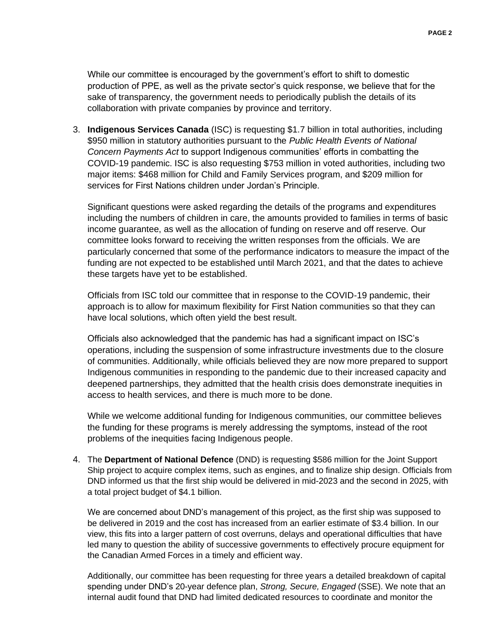While our committee is encouraged by the government's effort to shift to domestic production of PPE, as well as the private sector's quick response, we believe that for the sake of transparency, the government needs to periodically publish the details of its collaboration with private companies by province and territory.

3. **Indigenous Services Canada** (ISC) is requesting \$1.7 billion in total authorities, including \$950 million in statutory authorities pursuant to the *Public Health Events of National Concern Payments Act* to support Indigenous communities' efforts in combatting the COVID-19 pandemic. ISC is also requesting \$753 million in voted authorities, including two major items: \$468 million for Child and Family Services program, and \$209 million for services for First Nations children under Jordan's Principle.

Significant questions were asked regarding the details of the programs and expenditures including the numbers of children in care, the amounts provided to families in terms of basic income guarantee, as well as the allocation of funding on reserve and off reserve. Our committee looks forward to receiving the written responses from the officials. We are particularly concerned that some of the performance indicators to measure the impact of the funding are not expected to be established until March 2021, and that the dates to achieve these targets have yet to be established.

Officials from ISC told our committee that in response to the COVID-19 pandemic, their approach is to allow for maximum flexibility for First Nation communities so that they can have local solutions, which often yield the best result.

Officials also acknowledged that the pandemic has had a significant impact on ISC's operations, including the suspension of some infrastructure investments due to the closure of communities. Additionally, while officials believed they are now more prepared to support Indigenous communities in responding to the pandemic due to their increased capacity and deepened partnerships, they admitted that the health crisis does demonstrate inequities in access to health services, and there is much more to be done.

While we welcome additional funding for Indigenous communities, our committee believes the funding for these programs is merely addressing the symptoms, instead of the root problems of the inequities facing Indigenous people.

4. The **Department of National Defence** (DND) is requesting \$586 million for the Joint Support Ship project to acquire complex items, such as engines, and to finalize ship design. Officials from DND informed us that the first ship would be delivered in mid-2023 and the second in 2025, with a total project budget of \$4.1 billion.

We are concerned about DND's management of this project, as the first ship was supposed to be delivered in 2019 and the cost has increased from an earlier estimate of \$3.4 billion. In our view, this fits into a larger pattern of cost overruns, delays and operational difficulties that have led many to question the ability of successive governments to effectively procure equipment for the Canadian Armed Forces in a timely and efficient way.

Additionally, our committee has been requesting for three years a detailed breakdown of capital spending under DND's 20-year defence plan, *Strong, Secure, Engaged* (SSE). We note that an internal audit found that DND had limited dedicated resources to coordinate and monitor the